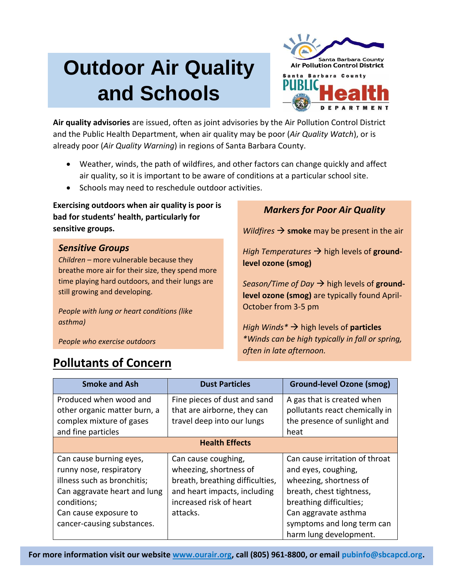# **Outdoor Air Quality and Schools**



**Air quality advisories** are issued, often as joint advisories by the Air Pollution Control District and the Public Health Department, when air quality may be poor (*Air Quality Watch*), or is already poor (*Air Quality Warning*) in regions of Santa Barbara County.

- Weather, winds, the path of wildfires, and other factors can change quickly and affect air quality, so it is important to be aware of conditions at a particular school site.
- Schools may need to reschedule outdoor activities.

**Exercising outdoors when air quality is poor is bad for students' health, particularly for sensitive groups.**

### *Sensitive Groups*

*Children* – more vulnerable because they breathe more air for their size, they spend more time playing hard outdoors, and their lungs are still growing and developing.

*People with lung or heart conditions (like asthma)* 

*People who exercise outdoors*

### *Markers for Poor Air Quality*

*Wildfires*  $\rightarrow$  **smoke** may be present in the air

*High Temperatures*  $\rightarrow$  high levels of **groundlevel ozone (smog)**

*Season/Time of Day*  $\rightarrow$  high levels of **groundlevel ozone (smog)** are typically found April-October from 3-5 pm

*High Winds<sup>\*</sup> → high levels of particles \*Winds can be high typically in fall or spring, often in late afternoon.*

| <b>Smoke and Ash</b>                                                                                                                                                                    | <b>Dust Particles</b>                                                                                                                                   | <b>Ground-level Ozone (smog)</b>                                                                                                                                                                                       |  |  |  |  |
|-----------------------------------------------------------------------------------------------------------------------------------------------------------------------------------------|---------------------------------------------------------------------------------------------------------------------------------------------------------|------------------------------------------------------------------------------------------------------------------------------------------------------------------------------------------------------------------------|--|--|--|--|
| Produced when wood and<br>other organic matter burn, a<br>complex mixture of gases                                                                                                      | Fine pieces of dust and sand<br>that are airborne, they can<br>travel deep into our lungs                                                               | A gas that is created when<br>pollutants react chemically in<br>the presence of sunlight and                                                                                                                           |  |  |  |  |
| and fine particles                                                                                                                                                                      |                                                                                                                                                         | heat                                                                                                                                                                                                                   |  |  |  |  |
| <b>Health Effects</b>                                                                                                                                                                   |                                                                                                                                                         |                                                                                                                                                                                                                        |  |  |  |  |
| Can cause burning eyes,<br>runny nose, respiratory<br>illness such as bronchitis;<br>Can aggravate heart and lung<br>conditions;<br>Can cause exposure to<br>cancer-causing substances. | Can cause coughing,<br>wheezing, shortness of<br>breath, breathing difficulties,<br>and heart impacts, including<br>increased risk of heart<br>attacks. | Can cause irritation of throat<br>and eyes, coughing,<br>wheezing, shortness of<br>breath, chest tightness,<br>breathing difficulties;<br>Can aggravate asthma<br>symptoms and long term can<br>harm lung development. |  |  |  |  |

## **Pollutants of Concern**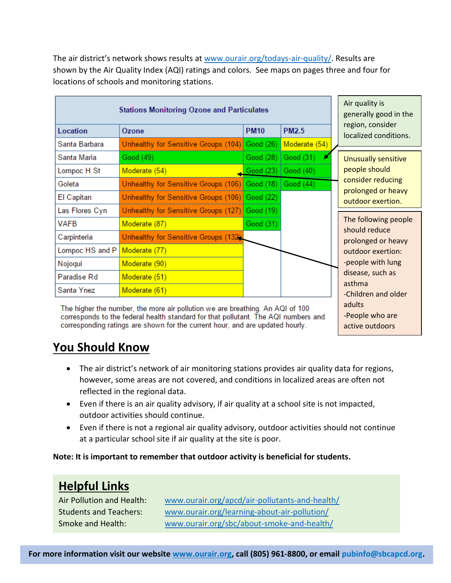| <b>Stations Monitoring Ozone and Particulates</b>                                                                                                                                                                                                    |                                                |                   | Air quality is<br>generally good in the |                                           |
|------------------------------------------------------------------------------------------------------------------------------------------------------------------------------------------------------------------------------------------------------|------------------------------------------------|-------------------|-----------------------------------------|-------------------------------------------|
| Location                                                                                                                                                                                                                                             | Ozone                                          | <b>PM10</b>       | <b>PM2.5</b>                            | region, consider<br>localized conditions. |
| Santa Barbara                                                                                                                                                                                                                                        | Unhealthy for Sensitive Groups (104) Good (26) |                   | Moderate (54)                           |                                           |
| Santa Maria                                                                                                                                                                                                                                          | Good (49)                                      | Good (28)         | Good (31)                               | <b>Unusually sensitive</b>                |
| Lompoc H St                                                                                                                                                                                                                                          | Moderate (54)                                  | Good (23)         | Good (40)                               | people should                             |
| Goleta                                                                                                                                                                                                                                               | Unhealthy for Sensitive Groups (106)           | $\vert$ Good (18) | Good (44)                               | consider reducing                         |
| El Capitan                                                                                                                                                                                                                                           | Unhealthy for Sensitive Groups (106)           | Good (22)         |                                         | prolonged or heavy<br>outdoor exertion.   |
| Las Flores Cyn                                                                                                                                                                                                                                       | Unhealthy for Sensitive Groups (127)           | Good (19)         |                                         |                                           |
| <b>VAFB</b>                                                                                                                                                                                                                                          | Moderate (87)                                  | Good (31)         |                                         | The following people                      |
| Carpinteria                                                                                                                                                                                                                                          | Unhealthy for Sensitive Groups (132).          |                   |                                         | should reduce<br>prolonged or heavy       |
| Lompoc HS and P                                                                                                                                                                                                                                      | Moderate (77)                                  |                   |                                         | outdoor exertion:                         |
| Nojoqui                                                                                                                                                                                                                                              | Moderate (90)                                  |                   |                                         | -people with lung                         |
| Paradise Rd                                                                                                                                                                                                                                          | Moderate (51)                                  |                   |                                         | disease, such as                          |
| Santa Ynez                                                                                                                                                                                                                                           | Moderate (61)                                  |                   |                                         | asthma<br>-Children and older             |
| The higher the number, the more air pollution we are breathing. An AQI of 100<br>corresponds to the federal health standard for that pollutant. The AQI numbers and<br>corresponding ratings are shown for the current hour, and are updated hourly. | adults<br>-People who are<br>active outdoors   |                   |                                         |                                           |

The air district's network shows results at [www.ourair.org/todays-air-quality/.](http://www.ourair.org/todays-air-quality/) Results are shown by the Air Quality Index (AQI) ratings and colors. See maps on pages three and four for locations of schools and monitoring stations.

### **You Should Know**

- The air district's network of air monitoring stations provides air quality data for regions, however, some areas are not covered, and conditions in localized areas are often not reflected in the regional data.
- Even if there is an air quality advisory, if air quality at a school site is not impacted, outdoor activities should continue.
- Even if there is not a regional air quality advisory, outdoor activities should not continue at a particular school site if air quality at the site is poor.

**Note: It is important to remember that outdoor activity is beneficial for students.** 

# **Helpful Links**

Air Pollution and Health: [www.ourair.org/apcd/air-pollutants-and-health/](http://www.ourair.org/apcd/air-pollutants-and-health/) Students and Teachers: [www.ourair.org/learning-about-air-pollution/](http://www.ourair.org/learning-about-air-pollution/) Smoke and Health: [www.ourair.org/sbc/about-smoke-and-health/](http://www.ourair.org/sbc/about-smoke-and-health/)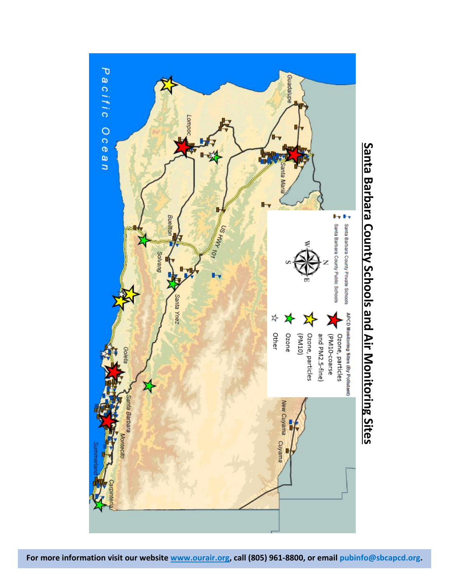

# **Santa Barbara County Schools and Air Monitoring Sites**